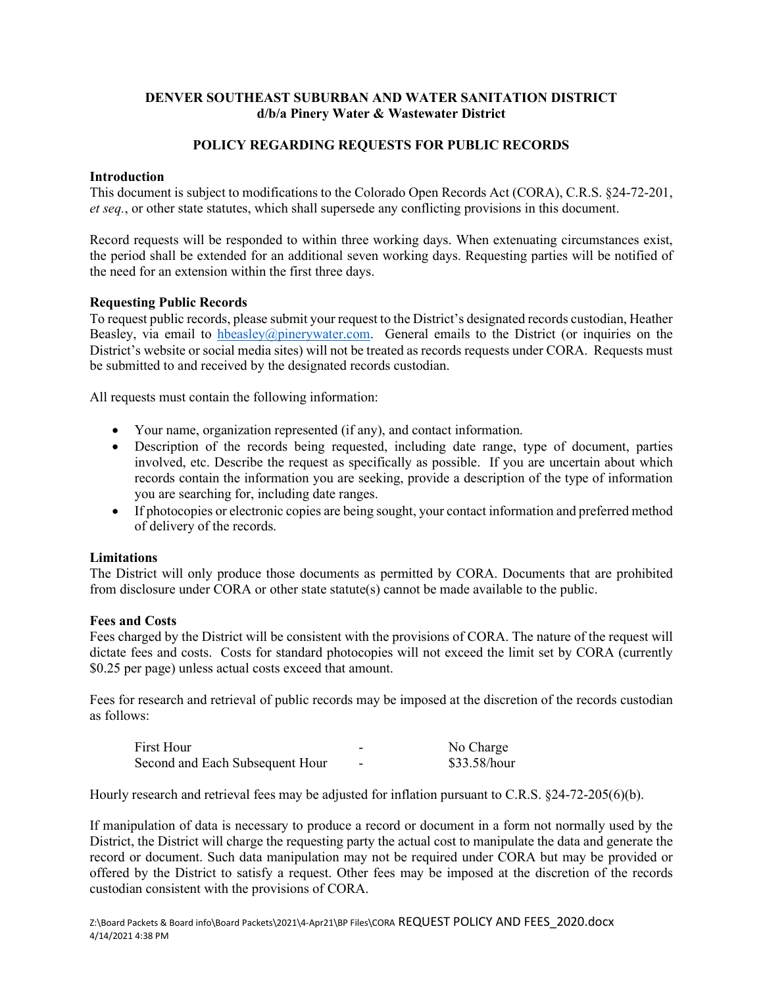## **DENVER SOUTHEAST SUBURBAN AND WATER SANITATION DISTRICT d/b/a Pinery Water & Wastewater District**

# **POLICY REGARDING REQUESTS FOR PUBLIC RECORDS**

### **Introduction**

This document is subject to modifications to the Colorado Open Records Act (CORA), C.R.S. §24-72-201, *et seq.*, or other state statutes, which shall supersede any conflicting provisions in this document.

Record requests will be responded to within three working days. When extenuating circumstances exist, the period shall be extended for an additional seven working days. Requesting parties will be notified of the need for an extension within the first three days.

### **Requesting Public Records**

To request public records, please submit your request to the District's designated records custodian, Heather Beasley, via email to [hbeasley@pinerywater.com.](mailto:hbeasley@pinerywater.com) General emails to the District (or inquiries on the District's website or social media sites) will not be treated as records requests under CORA. Requests must be submitted to and received by the designated records custodian.

All requests must contain the following information:

- Your name, organization represented (if any), and contact information.
- Description of the records being requested, including date range, type of document, parties involved, etc. Describe the request as specifically as possible. If you are uncertain about which records contain the information you are seeking, provide a description of the type of information you are searching for, including date ranges.
- If photocopies or electronic copies are being sought, your contact information and preferred method of delivery of the records.

#### **Limitations**

The District will only produce those documents as permitted by CORA. Documents that are prohibited from disclosure under CORA or other state statute(s) cannot be made available to the public.

#### **Fees and Costs**

Fees charged by the District will be consistent with the provisions of CORA. The nature of the request will dictate fees and costs. Costs for standard photocopies will not exceed the limit set by CORA (currently \$0.25 per page) unless actual costs exceed that amount.

Fees for research and retrieval of public records may be imposed at the discretion of the records custodian as follows:

| First Hour                      |   | No Charge    |
|---------------------------------|---|--------------|
| Second and Each Subsequent Hour | - | \$33.58/hour |

Hourly research and retrieval fees may be adjusted for inflation pursuant to C.R.S. §24-72-205(6)(b).

If manipulation of data is necessary to produce a record or document in a form not normally used by the District, the District will charge the requesting party the actual cost to manipulate the data and generate the record or document. Such data manipulation may not be required under CORA but may be provided or offered by the District to satisfy a request. Other fees may be imposed at the discretion of the records custodian consistent with the provisions of CORA.